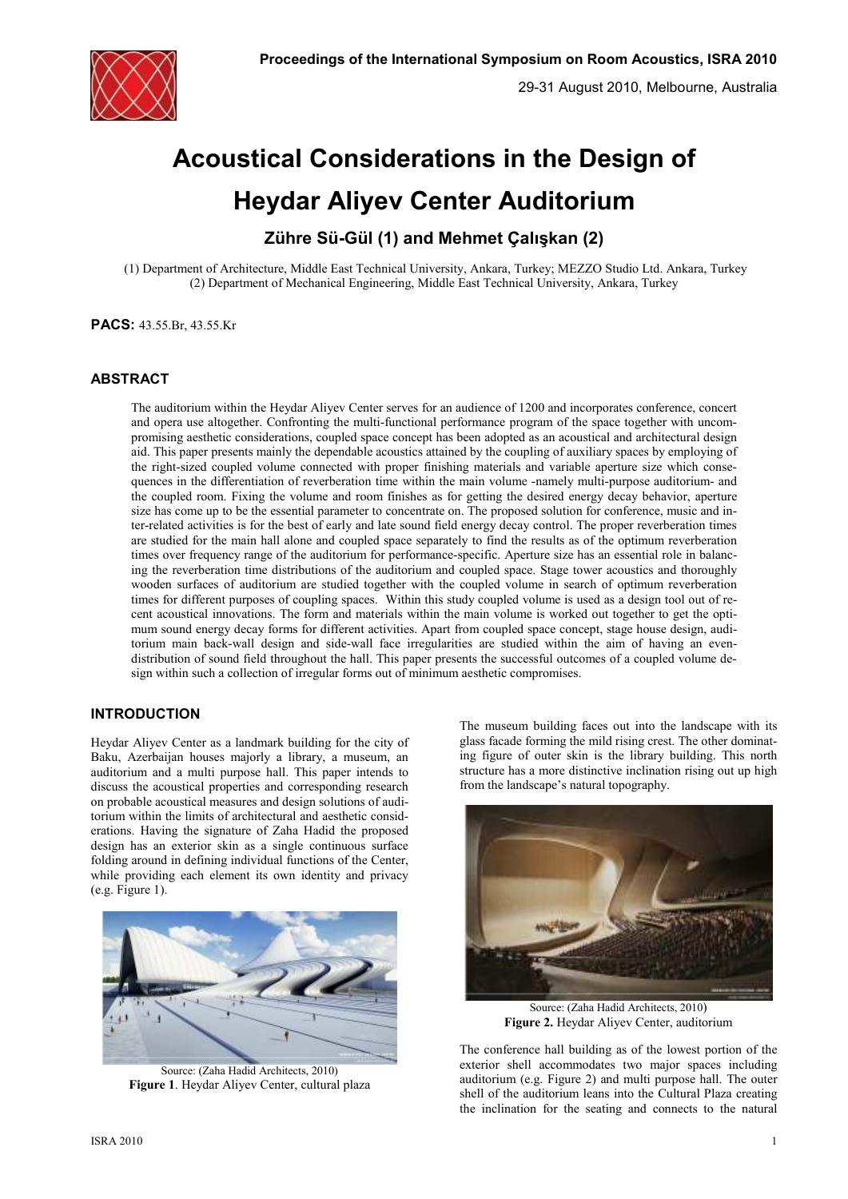

# **Acoustical Considerations in the Design of Heydar Aliyev Center Auditorium**

**Zühre Sü-Gül (1) and Mehmet Çalışkan (2)** 

 (1) Department of Architecture, Middle East Technical University, Ankara, Turkey; MEZZO Studio Ltd. Ankara, Turkey (2) Department of Mechanical Engineering, Middle East Technical University, Ankara, Turkey

**PACS:** 43.55.Br, 43.55.Kr

# **ABSTRACT**

The auditorium within the Heydar Aliyev Center serves for an audience of 1200 and incorporates conference, concert and opera use altogether. Confronting the multi-functional performance program of the space together with uncompromising aesthetic considerations, coupled space concept has been adopted as an acoustical and architectural design aid. This paper presents mainly the dependable acoustics attained by the coupling of auxiliary spaces by employing of the right-sized coupled volume connected with proper finishing materials and variable aperture size which consequences in the differentiation of reverberation time within the main volume -namely multi-purpose auditorium- and the coupled room. Fixing the volume and room finishes as for getting the desired energy decay behavior, aperture size has come up to be the essential parameter to concentrate on. The proposed solution for conference, music and inter-related activities is for the best of early and late sound field energy decay control. The proper reverberation times are studied for the main hall alone and coupled space separately to find the results as of the optimum reverberation times over frequency range of the auditorium for performance-specific. Aperture size has an essential role in balancing the reverberation time distributions of the auditorium and coupled space. Stage tower acoustics and thoroughly wooden surfaces of auditorium are studied together with the coupled volume in search of optimum reverberation times for different purposes of coupling spaces. Within this study coupled volume is used as a design tool out of recent acoustical innovations. The form and materials within the main volume is worked out together to get the optimum sound energy decay forms for different activities. Apart from coupled space concept, stage house design, auditorium main back-wall design and side-wall face irregularities are studied within the aim of having an evendistribution of sound field throughout the hall. This paper presents the successful outcomes of a coupled volume design within such a collection of irregular forms out of minimum aesthetic compromises.

# **INTRODUCTION**

Heydar Aliyev Center as a landmark building for the city of Baku, Azerbaijan houses majorly a library, a museum, an auditorium and a multi purpose hall. This paper intends to discuss the acoustical properties and corresponding research on probable acoustical measures and design solutions of auditorium within the limits of architectural and aesthetic considerations. Having the signature of Zaha Hadid the proposed design has an exterior skin as a single continuous surface folding around in defining individual functions of the Center, while providing each element its own identity and privacy (e.g. Figure 1).



Source: (Zaha Hadid Architects, 2010) **Figure 1**. Heydar Aliyev Center, cultural plaza

The museum building faces out into the landscape with its glass facade forming the mild rising crest. The other dominating figure of outer skin is the library building. This north structure has a more distinctive inclination rising out up high from the landscape's natural topography.



Source: (Zaha Hadid Architects, 2010) **Figure 2.** Heydar Aliyev Center, auditorium

The conference hall building as of the lowest portion of the exterior shell accommodates two major spaces including auditorium (e.g. Figure 2) and multi purpose hall. The outer shell of the auditorium leans into the Cultural Plaza creating the inclination for the seating and connects to the natural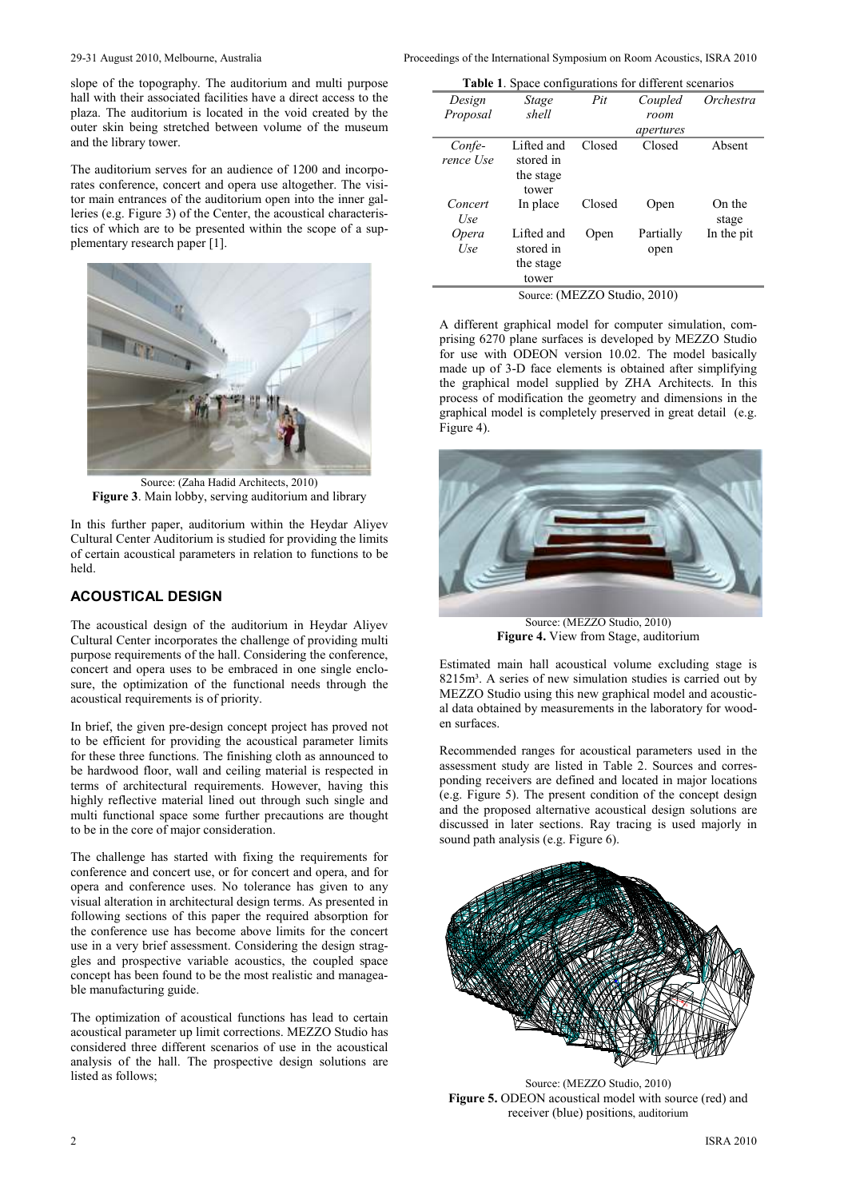slope of the topography. The auditorium and multi purpose hall with their associated facilities have a direct access to the plaza. The auditorium is located in the void created by the outer skin being stretched between volume of the museum and the library tower.

The auditorium serves for an audience of 1200 and incorporates conference, concert and opera use altogether. The visitor main entrances of the auditorium open into the inner galleries (e.g. Figure 3) of the Center, the acoustical characteristics of which are to be presented within the scope of a supplementary research paper [1].



Source: (Zaha Hadid Architects, 2010) **Figure 3**. Main lobby, serving auditorium and library

In this further paper, auditorium within the Heydar Aliyev Cultural Center Auditorium is studied for providing the limits of certain acoustical parameters in relation to functions to be held.

# **ACOUSTICAL DESIGN**

The acoustical design of the auditorium in Heydar Aliyev Cultural Center incorporates the challenge of providing multi purpose requirements of the hall. Considering the conference, concert and opera uses to be embraced in one single enclosure, the optimization of the functional needs through the acoustical requirements is of priority.

In brief, the given pre-design concept project has proved not to be efficient for providing the acoustical parameter limits for these three functions. The finishing cloth as announced to be hardwood floor, wall and ceiling material is respected in terms of architectural requirements. However, having this highly reflective material lined out through such single and multi functional space some further precautions are thought to be in the core of major consideration.

The challenge has started with fixing the requirements for conference and concert use, or for concert and opera, and for opera and conference uses. No tolerance has given to any visual alteration in architectural design terms. As presented in following sections of this paper the required absorption for the conference use has become above limits for the concert use in a very brief assessment. Considering the design straggles and prospective variable acoustics, the coupled space concept has been found to be the most realistic and manageable manufacturing guide.

The optimization of acoustical functions has lead to certain acoustical parameter up limit corrections. MEZZO Studio has considered three different scenarios of use in the acoustical analysis of the hall. The prospective design solutions are listed as follows;

29-31 August 2010, Melbourne, Australia Proceedings of the International Symposium on Room Acoustics, ISRA 2010

| <b>Table 1.</b> Space configurations for different scenarios |                                               |        |                   |                 |  |
|--------------------------------------------------------------|-----------------------------------------------|--------|-------------------|-----------------|--|
| Design                                                       | Stage                                         | Pit    | Coupled           | Orchestra       |  |
| Proposal                                                     | shell                                         |        | room              |                 |  |
|                                                              |                                               |        | apertures         |                 |  |
| Confe-<br>rence Use                                          | Lifted and<br>stored in<br>the stage<br>tower | Closed | Closed            | Absent          |  |
| Concert<br>Use                                               | In place                                      | Closed | Open              | On the<br>stage |  |
| Opera<br>Use                                                 | Lifted and<br>stored in<br>the stage<br>tower | Open   | Partially<br>open | In the pit      |  |
| Source: (MEZZO Studio, 2010)                                 |                                               |        |                   |                 |  |

A different graphical model for computer simulation, comprising 6270 plane surfaces is developed by MEZZO Studio for use with ODEON version 10.02. The model basically made up of 3-D face elements is obtained after simplifying the graphical model supplied by ZHA Architects. In this process of modification the geometry and dimensions in the graphical model is completely preserved in great detail (e.g. Figure 4).



Source: (MEZZO Studio, 2010) **Figure 4.** View from Stage, auditorium

Estimated main hall acoustical volume excluding stage is 8215m<sup>3</sup>. A series of new simulation studies is carried out by MEZZO Studio using this new graphical model and acoustical data obtained by measurements in the laboratory for wooden surfaces.

Recommended ranges for acoustical parameters used in the assessment study are listed in Table 2. Sources and corresponding receivers are defined and located in major locations (e.g. Figure 5). The present condition of the concept design and the proposed alternative acoustical design solutions are discussed in later sections. Ray tracing is used majorly in sound path analysis (e.g. Figure 6).



Source: (MEZZO Studio, 2010) **Figure 5.** ODEON acoustical model with source (red) and receiver (blue) positions, auditorium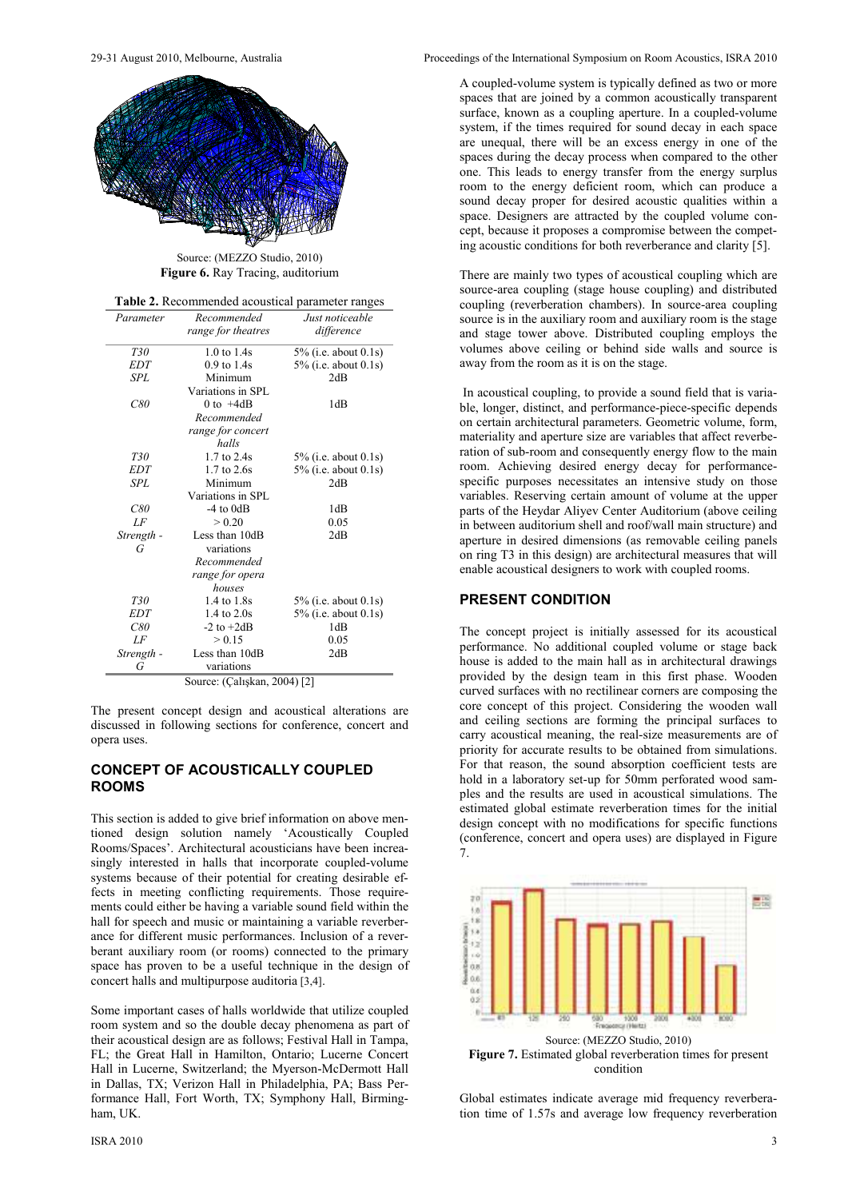

Source: (MEZZO Studio, 2010) **Figure 6.** Ray Tracing, auditorium

| Table 2. Recommended acoustical parameter ranges |  |
|--------------------------------------------------|--|
|--------------------------------------------------|--|

| Parameter  | Recommended                  | Just noticeable         |
|------------|------------------------------|-------------------------|
|            | range for theatres           | difference              |
| T30        | 1.0 to 1.4s                  | 5% (i.e. about $0.1s$ ) |
| <b>EDT</b> | $0.9$ to $1.4s$              | $5\%$ (i.e. about 0.1s) |
| <b>SPL</b> | Minimum                      | 2dB                     |
|            | Variations in SPL            |                         |
| C80        | 0 to $+4dB$                  | 1dB                     |
|            | Recommended                  |                         |
|            | range for concert<br>halls   |                         |
| T30        | 1.7 to 2.4s                  | 5% (i.e. about $0.1s$ ) |
| <b>EDT</b> | $1.7$ to $2.6s$              | $5\%$ (i.e. about 0.1s) |
| SPL        | Minimum                      | 2dB                     |
|            | Variations in SPL            |                         |
| C80        | $-4$ to $0dB$                | 1dB                     |
| LF         | > 0.20                       | 0.05                    |
| Strength - | Less than 10dB               | 2dB                     |
| G          | variations                   |                         |
|            | Recommended                  |                         |
|            | range for opera              |                         |
|            | houses                       |                         |
| T30        | 1.4 to 1.8s                  | $5\%$ (i.e. about 0.1s) |
| <b>EDT</b> | $1.4$ to $2.0s$              | 5% (i.e. about $0.1s$ ) |
| C80        | $-2$ to $+2dB$               | 1dB                     |
| LF         | > 0.15                       | 0.05                    |
| Strength - | Less than 10dB               | 2dB                     |
| G          | variations                   |                         |
|            | Source: (Çalışkan, 2004) [2] |                         |

The present concept design and acoustical alterations are discussed in following sections for conference, concert and opera uses.

### **CONCEPT OF ACOUSTICALLY COUPLED ROOMS**

This section is added to give brief information on above mentioned design solution namely 'Acoustically Coupled Rooms/Spaces'. Architectural acousticians have been increasingly interested in halls that incorporate coupled-volume systems because of their potential for creating desirable effects in meeting conflicting requirements. Those requirements could either be having a variable sound field within the hall for speech and music or maintaining a variable reverberance for different music performances. Inclusion of a reverberant auxiliary room (or rooms) connected to the primary space has proven to be a useful technique in the design of concert halls and multipurpose auditoria [3,4].

Some important cases of halls worldwide that utilize coupled room system and so the double decay phenomena as part of their acoustical design are as follows; Festival Hall in Tampa, FL; the Great Hall in Hamilton, Ontario; Lucerne Concert Hall in Lucerne, Switzerland; the Myerson-McDermott Hall in Dallas, TX; Verizon Hall in Philadelphia, PA; Bass Performance Hall, Fort Worth, TX; Symphony Hall, Birmingham, UK.

29-31 August 2010, Melbourne, Australia Proceedings of the International Symposium on Room Acoustics, ISRA 2010

A coupled-volume system is typically defined as two or more spaces that are joined by a common acoustically transparent surface, known as a coupling aperture. In a coupled-volume system, if the times required for sound decay in each space are unequal, there will be an excess energy in one of the spaces during the decay process when compared to the other one. This leads to energy transfer from the energy surplus room to the energy deficient room, which can produce a sound decay proper for desired acoustic qualities within a space. Designers are attracted by the coupled volume concept, because it proposes a compromise between the competing acoustic conditions for both reverberance and clarity [5].

There are mainly two types of acoustical coupling which are source-area coupling (stage house coupling) and distributed coupling (reverberation chambers). In source-area coupling source is in the auxiliary room and auxiliary room is the stage and stage tower above. Distributed coupling employs the volumes above ceiling or behind side walls and source is away from the room as it is on the stage.

 In acoustical coupling, to provide a sound field that is variable, longer, distinct, and performance-piece-specific depends on certain architectural parameters. Geometric volume, form, materiality and aperture size are variables that affect reverberation of sub-room and consequently energy flow to the main room. Achieving desired energy decay for performancespecific purposes necessitates an intensive study on those variables. Reserving certain amount of volume at the upper parts of the Heydar Aliyev Center Auditorium (above ceiling in between auditorium shell and roof/wall main structure) and aperture in desired dimensions (as removable ceiling panels on ring T3 in this design) are architectural measures that will enable acoustical designers to work with coupled rooms.

### **PRESENT CONDITION**

The concept project is initially assessed for its acoustical performance. No additional coupled volume or stage back house is added to the main hall as in architectural drawings provided by the design team in this first phase. Wooden curved surfaces with no rectilinear corners are composing the core concept of this project. Considering the wooden wall and ceiling sections are forming the principal surfaces to carry acoustical meaning, the real-size measurements are of priority for accurate results to be obtained from simulations. For that reason, the sound absorption coefficient tests are hold in a laboratory set-up for 50mm perforated wood samples and the results are used in acoustical simulations. The estimated global estimate reverberation times for the initial design concept with no modifications for specific functions (conference, concert and opera uses) are displayed in Figure 7.



Global estimates indicate average mid frequency reverberation time of 1.57s and average low frequency reverberation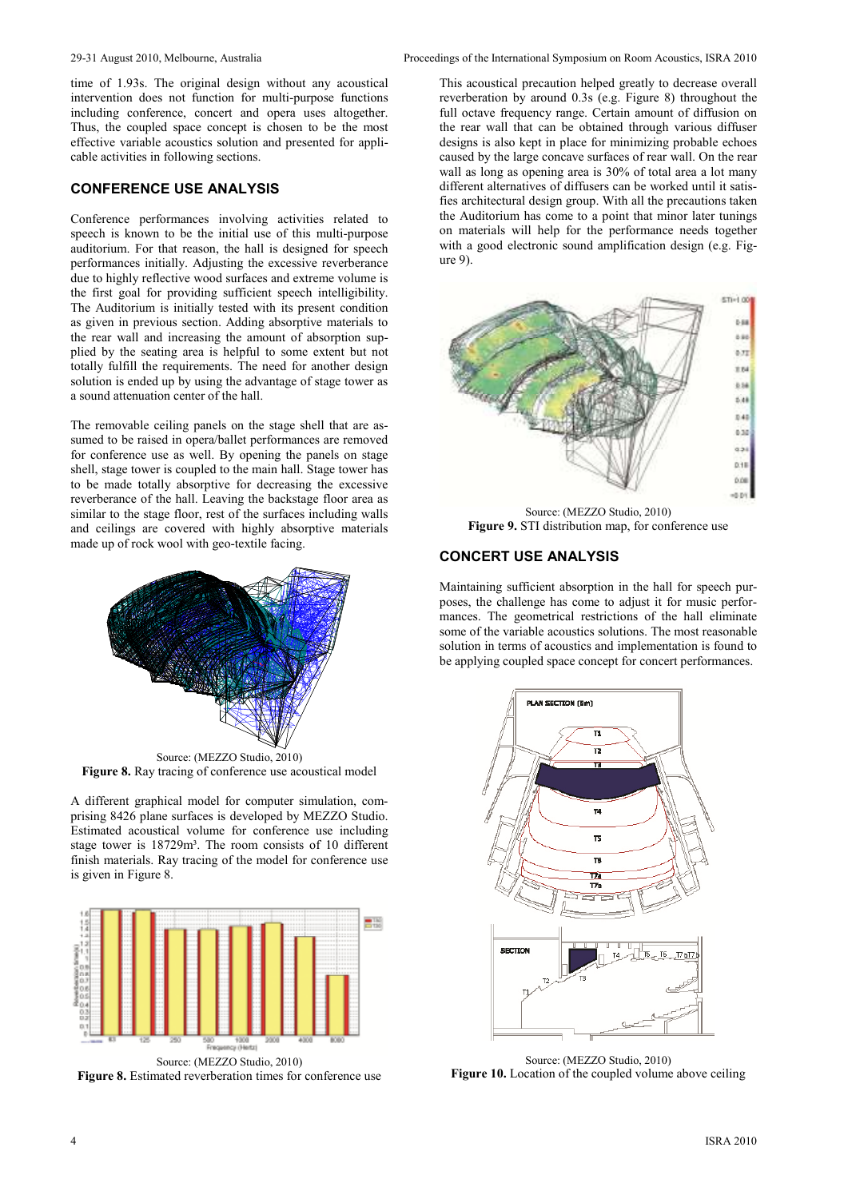time of 1.93s. The original design without any acoustical intervention does not function for multi-purpose functions including conference, concert and opera uses altogether. Thus, the coupled space concept is chosen to be the most effective variable acoustics solution and presented for applicable activities in following sections.

# **CONFERENCE USE ANALYSIS**

Conference performances involving activities related to speech is known to be the initial use of this multi-purpose auditorium. For that reason, the hall is designed for speech performances initially. Adjusting the excessive reverberance due to highly reflective wood surfaces and extreme volume is the first goal for providing sufficient speech intelligibility. The Auditorium is initially tested with its present condition as given in previous section. Adding absorptive materials to the rear wall and increasing the amount of absorption supplied by the seating area is helpful to some extent but not totally fulfill the requirements. The need for another design solution is ended up by using the advantage of stage tower as a sound attenuation center of the hall.

The removable ceiling panels on the stage shell that are assumed to be raised in opera/ballet performances are removed for conference use as well. By opening the panels on stage shell, stage tower is coupled to the main hall. Stage tower has to be made totally absorptive for decreasing the excessive reverberance of the hall. Leaving the backstage floor area as similar to the stage floor, rest of the surfaces including walls and ceilings are covered with highly absorptive materials made up of rock wool with geo-textile facing.



Source: (MEZZO Studio, 2010) **Figure 8.** Ray tracing of conference use acoustical model

A different graphical model for computer simulation, comprising 8426 plane surfaces is developed by MEZZO Studio. Estimated acoustical volume for conference use including stage tower is 18729m<sup>3</sup>. The room consists of 10 different finish materials. Ray tracing of the model for conference use is given in Figure 8.



**Figure 8.** Estimated reverberation times for conference use

This acoustical precaution helped greatly to decrease overall reverberation by around 0.3s (e.g. Figure 8) throughout the full octave frequency range. Certain amount of diffusion on the rear wall that can be obtained through various diffuser designs is also kept in place for minimizing probable echoes caused by the large concave surfaces of rear wall. On the rear wall as long as opening area is 30% of total area a lot many different alternatives of diffusers can be worked until it satisfies architectural design group. With all the precautions taken the Auditorium has come to a point that minor later tunings on materials will help for the performance needs together with a good electronic sound amplification design (e.g. Figure 9).



Source: (MEZZO Studio, 2010) **Figure 9.** STI distribution map, for conference use

# **CONCERT USE ANALYSIS**

Maintaining sufficient absorption in the hall for speech purposes, the challenge has come to adjust it for music performances. The geometrical restrictions of the hall eliminate some of the variable acoustics solutions. The most reasonable solution in terms of acoustics and implementation is found to be applying coupled space concept for concert performances.



Source: (MEZZO Studio, 2010) **Figure 10.** Location of the coupled volume above ceiling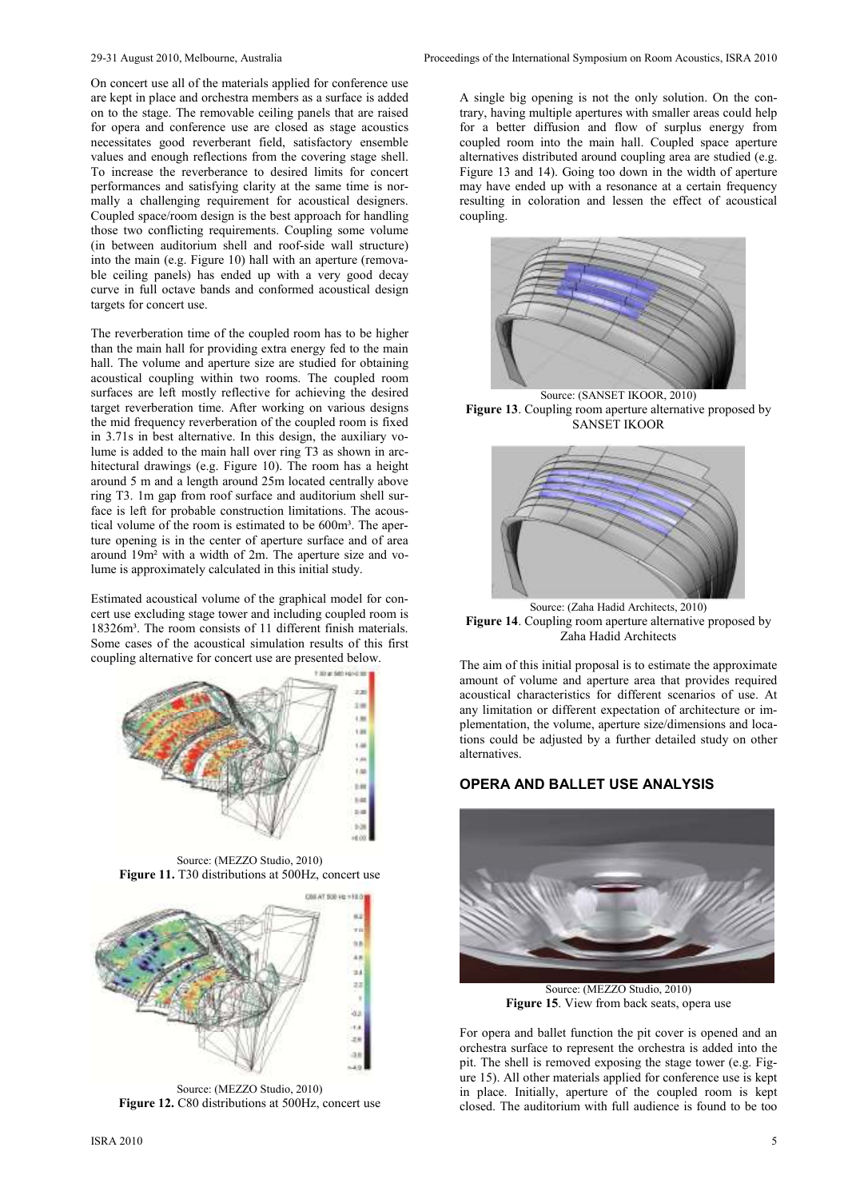On concert use all of the materials applied for conference use are kept in place and orchestra members as a surface is added on to the stage. The removable ceiling panels that are raised for opera and conference use are closed as stage acoustics necessitates good reverberant field, satisfactory ensemble values and enough reflections from the covering stage shell. To increase the reverberance to desired limits for concert performances and satisfying clarity at the same time is normally a challenging requirement for acoustical designers. Coupled space/room design is the best approach for handling those two conflicting requirements. Coupling some volume (in between auditorium shell and roof-side wall structure) into the main (e.g. Figure 10) hall with an aperture (removable ceiling panels) has ended up with a very good decay curve in full octave bands and conformed acoustical design targets for concert use.

The reverberation time of the coupled room has to be higher than the main hall for providing extra energy fed to the main hall. The volume and aperture size are studied for obtaining acoustical coupling within two rooms. The coupled room surfaces are left mostly reflective for achieving the desired target reverberation time. After working on various designs the mid frequency reverberation of the coupled room is fixed in 3.71s in best alternative. In this design, the auxiliary volume is added to the main hall over ring T3 as shown in architectural drawings (e.g. Figure 10). The room has a height around 5 m and a length around 25m located centrally above ring T3. 1m gap from roof surface and auditorium shell surface is left for probable construction limitations. The acoustical volume of the room is estimated to be 600m<sup>3</sup>. The aperture opening is in the center of aperture surface and of area around 19m² with a width of 2m. The aperture size and volume is approximately calculated in this initial study.

Estimated acoustical volume of the graphical model for concert use excluding stage tower and including coupled room is 18326m<sup>3</sup>. The room consists of 11 different finish materials. Some cases of the acoustical simulation results of this first coupling alternative for concert use are presented below.



Source: (MEZZO Studio, 2010) **Figure 11.** T30 distributions at 500Hz, concert use



Source: (MEZZO Studio, 2010) **Figure 12.** C80 distributions at 500Hz, concert use

A single big opening is not the only solution. On the contrary, having multiple apertures with smaller areas could help for a better diffusion and flow of surplus energy from coupled room into the main hall. Coupled space aperture alternatives distributed around coupling area are studied (e.g. Figure 13 and 14). Going too down in the width of aperture may have ended up with a resonance at a certain frequency resulting in coloration and lessen the effect of acoustical coupling.



Source: (SANSET IKOOR, 2010) **Figure 13**. Coupling room aperture alternative proposed by SANSET IKOOR



Source: (Zaha Hadid Architects, 2010) **Figure 14**. Coupling room aperture alternative proposed by Zaha Hadid Architects

The aim of this initial proposal is to estimate the approximate amount of volume and aperture area that provides required acoustical characteristics for different scenarios of use. At any limitation or different expectation of architecture or implementation, the volume, aperture size/dimensions and locations could be adjusted by a further detailed study on other alternatives.

# **OPERA AND BALLET USE ANALYSIS**



Source: (MEZZO Studio, 2010) **Figure 15**. View from back seats, opera use

For opera and ballet function the pit cover is opened and an orchestra surface to represent the orchestra is added into the pit. The shell is removed exposing the stage tower (e.g. Figure 15). All other materials applied for conference use is kept in place. Initially, aperture of the coupled room is kept closed. The auditorium with full audience is found to be too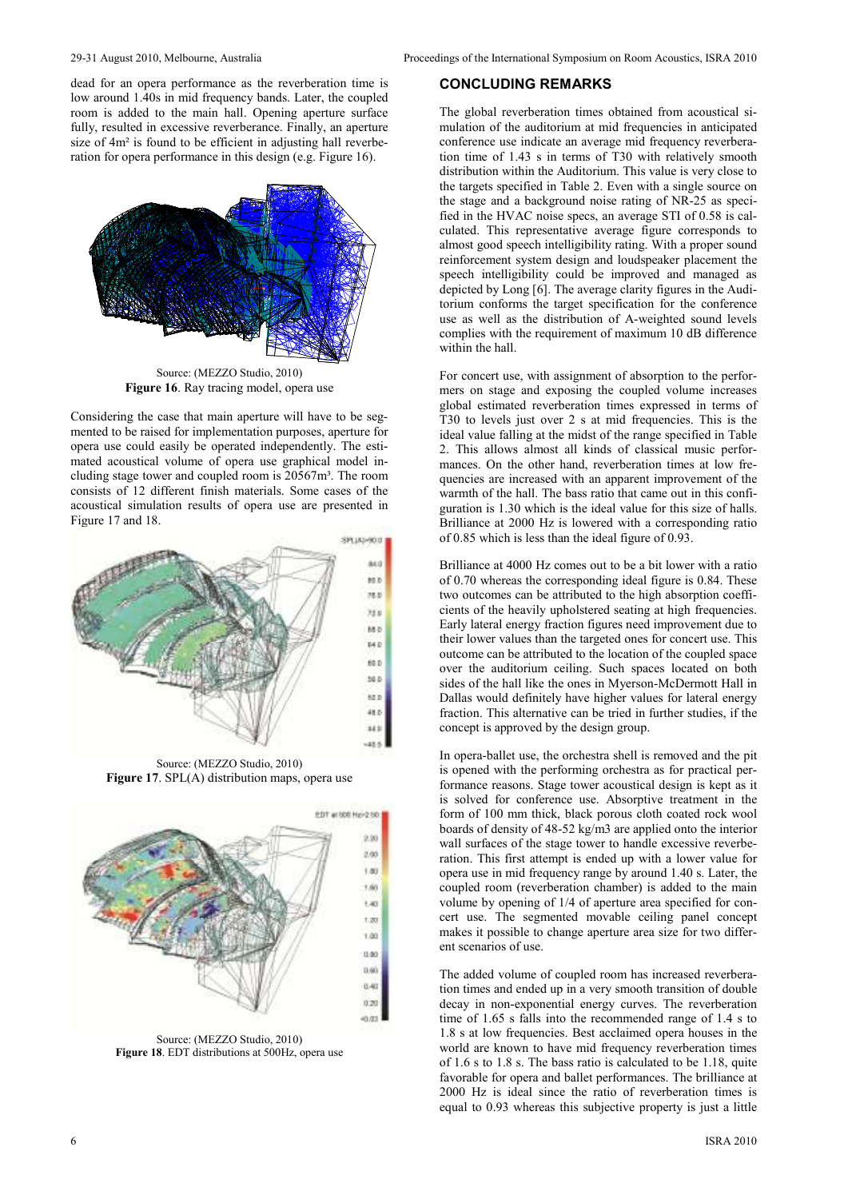dead for an opera performance as the reverberation time is low around 1.40s in mid frequency bands. Later, the coupled room is added to the main hall. Opening aperture surface fully, resulted in excessive reverberance. Finally, an aperture size of  $4m<sup>2</sup>$  is found to be efficient in adjusting hall reverberation for opera performance in this design (e.g. Figure 16).



Source: (MEZZO Studio, 2010) **Figure 16**. Ray tracing model, opera use

Considering the case that main aperture will have to be segmented to be raised for implementation purposes, aperture for opera use could easily be operated independently. The estimated acoustical volume of opera use graphical model including stage tower and coupled room is 20567m³. The room consists of 12 different finish materials. Some cases of the acoustical simulation results of opera use are presented in Figure 17 and 18.



Source: (MEZZO Studio, 2010) **Figure 17**. SPL(A) distribution maps, opera use



Source: (MEZZO Studio, 2010) **Figure 18**. EDT distributions at 500Hz, opera use

### **CONCLUDING REMARKS**

The global reverberation times obtained from acoustical simulation of the auditorium at mid frequencies in anticipated conference use indicate an average mid frequency reverberation time of 1.43 s in terms of T30 with relatively smooth distribution within the Auditorium. This value is very close to the targets specified in Table 2. Even with a single source on the stage and a background noise rating of NR-25 as specified in the HVAC noise specs, an average STI of 0.58 is calculated. This representative average figure corresponds to almost good speech intelligibility rating. With a proper sound reinforcement system design and loudspeaker placement the speech intelligibility could be improved and managed as depicted by Long [6]. The average clarity figures in the Auditorium conforms the target specification for the conference use as well as the distribution of A-weighted sound levels complies with the requirement of maximum 10 dB difference within the hall.

For concert use, with assignment of absorption to the performers on stage and exposing the coupled volume increases global estimated reverberation times expressed in terms of T30 to levels just over 2 s at mid frequencies. This is the ideal value falling at the midst of the range specified in Table 2. This allows almost all kinds of classical music performances. On the other hand, reverberation times at low frequencies are increased with an apparent improvement of the warmth of the hall. The bass ratio that came out in this configuration is 1.30 which is the ideal value for this size of halls. Brilliance at 2000 Hz is lowered with a corresponding ratio of 0.85 which is less than the ideal figure of 0.93.

Brilliance at 4000 Hz comes out to be a bit lower with a ratio of 0.70 whereas the corresponding ideal figure is 0.84. These two outcomes can be attributed to the high absorption coefficients of the heavily upholstered seating at high frequencies. Early lateral energy fraction figures need improvement due to their lower values than the targeted ones for concert use. This outcome can be attributed to the location of the coupled space over the auditorium ceiling. Such spaces located on both sides of the hall like the ones in Myerson-McDermott Hall in Dallas would definitely have higher values for lateral energy fraction. This alternative can be tried in further studies, if the concept is approved by the design group.

In opera-ballet use, the orchestra shell is removed and the pit is opened with the performing orchestra as for practical performance reasons. Stage tower acoustical design is kept as it is solved for conference use. Absorptive treatment in the form of 100 mm thick, black porous cloth coated rock wool boards of density of 48-52 kg/m3 are applied onto the interior wall surfaces of the stage tower to handle excessive reverberation. This first attempt is ended up with a lower value for opera use in mid frequency range by around 1.40 s. Later, the coupled room (reverberation chamber) is added to the main volume by opening of 1/4 of aperture area specified for concert use. The segmented movable ceiling panel concept makes it possible to change aperture area size for two different scenarios of use.

The added volume of coupled room has increased reverberation times and ended up in a very smooth transition of double decay in non-exponential energy curves. The reverberation time of 1.65 s falls into the recommended range of 1.4 s to 1.8 s at low frequencies. Best acclaimed opera houses in the world are known to have mid frequency reverberation times of 1.6 s to 1.8 s. The bass ratio is calculated to be 1.18, quite favorable for opera and ballet performances. The brilliance at 2000 Hz is ideal since the ratio of reverberation times is equal to 0.93 whereas this subjective property is just a little